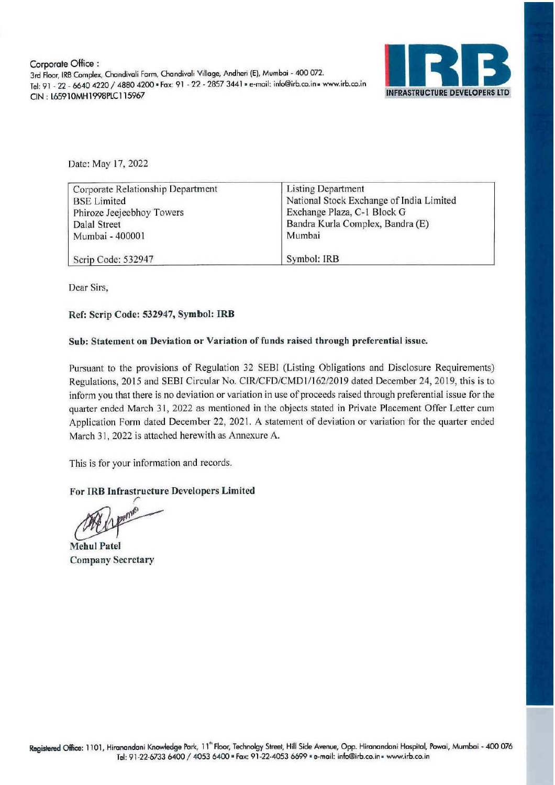

Date: May 17, 2022

| Corporate Relationship Department | <b>Listing Department</b>                |  |
|-----------------------------------|------------------------------------------|--|
| <b>BSE</b> Limited                | National Stock Exchange of India Limited |  |
| Phiroze Jeejeebhoy Towers         | Exchange Plaza, C-1 Block G              |  |
| Dalal Street                      | Bandra Kurla Complex, Bandra (E)         |  |
| Mumbai - 400001                   | Mumbai                                   |  |
| Scrip Code: 532947                | Symbol: IRB                              |  |

Dear Sirs,

## Ref: Scrip Code: 532947, Symbol: IRB

## Sub: Statement on Deviation or Variation of funds raised through preferential issue.

Pursuant to the provisions of Regulation 32 SEBI (Listing Obligations and Disclosure Requirements) Regulations, 2015 and SEBI Circular No. CIR/CFD/CMD1/162/2019 dated December 24, 2019, this is to inform you that there is no deviation or variation in use of proceeds raised through preferential issue for the quarter ended March 31, 2022 as mentioned in the objects stated in Private Placement Offer Letter cum Application Forrn dated December 22, 2021 . A statement of deviation or variation for the quarter ended March 31, 2022 is attached herewith as Annexure A.

This is for your information and records.

# **For IRB Infrastructure Developers Limited**

For IRB Infrastructure Developers Limited<br>
The Limited<br>
The Patel<br>
Rehul Patel

**Mehul Patel** Company Secretary